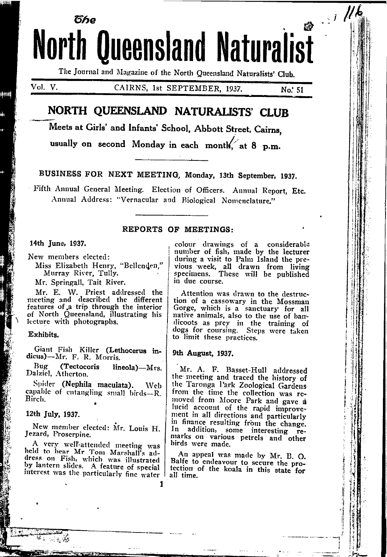# ตีหด **North Queensland Naturalist**

The Journal and Magazine of the North Queensland Naturalists' Club.

 $Vol$ ,  $V$ .

alanga

CAIRNS, 1st SEPTEMBER, 1937.

No. 51

 $\mathbb{R}^d$ 

# NORTH QUEENSLAND NATURALISTS' CLUB

Meets at Girls' and Infants' School, Abbott Street, Cairns.

usually on second Monday in each month at 8 p.m.

BUSINESS FOR NEXT MEETING, Monday, 13th September, 1937.

Fifth Annual General Meeting. Election of Officers. Annual Report, Etc. Annual Address: "Vernacular aud Biological Nomenclature."

1

# **REPORTS OF MEETINGS:**

### 14th June, 1937.

New members elected:

Miss Elizabeth Henry, "Bellenden," Murray River, Tully.

Mr. Springall, Tait River.

Mr. E. W. Priest addressed the<br>meeting and described the different features of a trip through the interior of North Queensland, illustrating his lecture with photographs.

#### Exhibits.

Giant Fish Killer (Lethocerus in-<br>dicus)-Mr. F. R. Morris.

Bug (Tectocoris lineola)-Mrs. Dalziel, Atherton.

Spider (Nephila maculata). Web capable of entangling small birds-R. Birch.

# 12th July, 1937.

New member elected: Mr. Louis H. Jezard, Proserpine.

A very well-attended meeting was held to hear Mr Tom Marshall's address on Fish, which was illustrated by lantern slides. A feature of special interest was the particularly fine water I colour drawings of a considerable<br>number of fish, made by the lecturer during a visit to Palm Island the previous week, all drawn from living<br>specimens. These will be published in due course.

Attention was drawn to the destruction of a cassowary in the Mossman Gorge, which is a sanctuary for all native animals, also to the use of bandicoots as prey in the training of<br>dogs for coursing. Steps were taken to limit these practices.

### 9th August, 1937.

Mr. A. F. Basset-Hull addressed the meeting and traced the history of the Taronga Park Zoological Gardens from the time the collection was removed from Moore Park and gave a lucid account of the rapid improvement in all directions and particularly in finance resulting from the change. In addition, some interesting remarks on various petrels and other birds were made.

An appeal was made by Mr. B. O. Balfe to endeavour to secure the protection of the koala in this state for all time.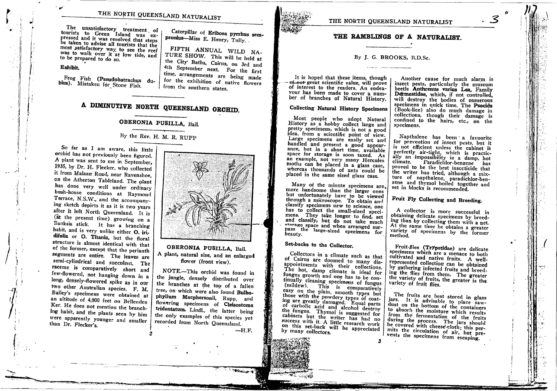THE NORTH QUEENSLAND NATURALIST

The unsatisfactory treatment of tourists to Green Island was expressed and it was resolved that steps be taken to advise all tourists that the most satisfactory way to see the reef was to walk over it at low tide, and to be prepared to do so.

## Exhibit.

Frog Fish (Pseudobatrachus dubius). Mistaken for Stone Fish.

Caterpillar of Eriboea pyrrhus sempronius-Miss E. Henry, Tully.

FIFTH ANNUAL WILD NA-TURE SHOW. This will be held at the City Baths, Cairns, on 3rd and 4th September next. For the first time, arrangements are being made for the exhibition of native flowers from the southern states.

# A DIMINUTIVE NORTH QUEENSLAND ORCHID.

# OBERONIA PUSILLA, Bail.

# By the Rev. H. M. R. RUPP

So far as I am aware, this little orchid has not previously been figured. A plant was sent to me in September, 1935, by Dr. H. Flecker, who collected it from Malaan Road, near Ravenshoe. on the Atherton Tableland. The plant has done very well under ordinary bush-house conditions at Raymond Terrace, N.S.W., and the accompanying sketch depicts it as it is two years after it left North Queensland. It is (at the present time) growing on a Banksia stick. It has a branching habit, and is very unlike either O. iridifolia or O. Titania, but the floral structure is almost identical with that of the former, except that the perianth segments are entire. The leaves are semi-cylindrical and succulent. The raceme is comparatively short and few-flowered, not hanging down in a long, densely-flowered spike as in our two other Australian species. F. M. Bailey's specimens were obtained at an altitude of 4,000 feet on Bellenden Ker. He does not mention the branching habit, and the plants seen by him were apparently younger and smaller than Dr. Flecker's.



OBERONIA PUSILLA, Bail. A plant, natural size, and an enlarged flower (front view).

NOTE .- This orchid was found in the jungle, densely distributed over the branches at the top of a fallen tree, on which were also found Bulbophyllum Macphersonii, Rupp, and flowering specimens of Cleisostoma tridentatum, Lindl., the latter being the only examples of this species yet recorded from North Queensland.

 $-H.F.$ 

THE NORTH QUEENSLAND NATURALIST

# THE RAMBLINGS OF A NATURALIST.

# By J. G. BROOKS, B.D.Sc.

It is hoped that these items, though of-not great scientific value, will prove of interest to the readers. An endeavour has been made to cover a number of branches of Natural History.

# **Collecting Natural History Specimens**

Most people who adopt Natural History as a hobby collect large and pretty specimens, which is not a good idea, from a scientific point of view. Large specimens are easily set and handled and present a good appearance, but in a short time, available space for storage is soon taxed. As an example, not very many Hercules moths can be placed in a glass case, whereas thousands of ants could be placed in the same sized glass case.

Many of the minute specimens are, more handsome than the larger ones but unfortunately have to be viewed through a microscope. To obtain and classify specimens new to science, one has to collect the small-sized specimens. They take longer to find, set and classify, but do not take much storage space and when arranged surpass the large-sized specimens for beauty.

# Set-backs to the Collector.

Collectors in a climate such as that of Cairns are doomed to many disappointments with their collections. The hot, damp climate is ideal for fungus growth and one has to be continually cleaning specimens of fungus (mildew). This is comparatively easy on the plain, smooth types but those with the powdery types of coating are greatly damaged. Equal parts of carbolic acid and alcohol destroy the fungus. Thymol is suggested for cabinets but the writer has had no success with it. A little research work on this set-back will be appreciated by many collectors.

Another cause for much alarm is insect pests, particularly the museum beetle Anthrenus varius Lea, Family Dermestidae, which, if not controlled, will destroy the bodies of numerous specimens in quick time. The Psocids (Book-lice) also do much damage in collections, though their damage is confined to the hairs, etc., on the specimens.

Napthalene has been a favourite for prevention of insect pests, but it is not efficient unless the cabinet is perfectly air-tight, which is practically an impossibility in a damp, hot climate. Paradichlor-benzene has proved to be the best insecticide that the writer has tried, although a mixture of napthalene, paradichlor-benzene and thymol boiled together and set in blocks is recommended.

# Fruit Fly Collecting and Breeding.

A collector is more successful in obtaining delicate specimens by breeding than by collecting them with a net. At the same time he obtains a greater variety of specimens by the former method.

Fruit-flies (Trypetidae) are delicate specimens which are a menace to both cultivated and native fruits. A wellrepresented collection can be obtained by gathering infected fruits and breeding the flies from them. The greater the variety of fruits, the greater is the variety of fruit flies.

The fruits are best stored in glass jars. It is advisable to place sawdust on the bottom of the containers to absorb the moisture which results from the fermentation of the fruits during the process. The jars should be covered with cheese cloth; this permits the circulation of air, but prevents the specimens from escaping.